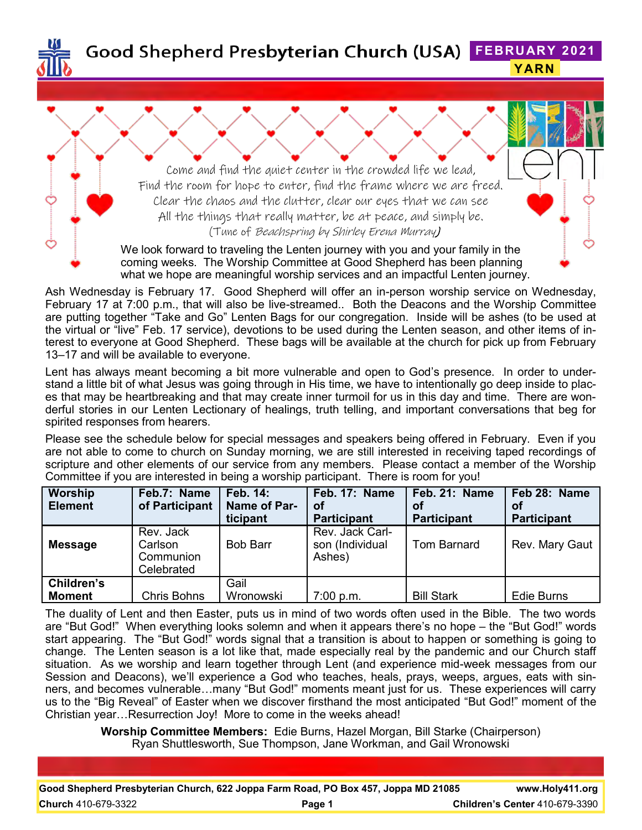

**Good Shepherd Presbyterian Church (USA) FEBRUARY 2021 YARN**

> Come and find the quiet center in the crowded life we lead, Find the room for hope to enter, find the frame where we are freed. Clear the chaos and the clutter, clear our eyes that we can see All the things that really matter, be at peace, and simply be. (Tune of Beachspring by Shirley Erena Murray)

We look forward to traveling the Lenten journey with you and your family in the coming weeks. The Worship Committee at Good Shepherd has been planning what we hope are meaningful worship services and an impactful Lenten journey.

Ash Wednesday is February 17. Good Shepherd will offer an in-person worship service on Wednesday, February 17 at 7:00 p.m., that will also be live-streamed.. Both the Deacons and the Worship Committee are putting together "Take and Go" Lenten Bags for our congregation. Inside will be ashes (to be used at the virtual or "live" Feb. 17 service), devotions to be used during the Lenten season, and other items of interest to everyone at Good Shepherd. These bags will be available at the church for pick up from February 13–17 and will be available to everyone.

Lent has always meant becoming a bit more vulnerable and open to God's presence. In order to understand a little bit of what Jesus was going through in His time, we have to intentionally go deep inside to places that may be heartbreaking and that may create inner turmoil for us in this day and time. There are wonderful stories in our Lenten Lectionary of healings, truth telling, and important conversations that beg for spirited responses from hearers.

Please see the schedule below for special messages and speakers being offered in February. Even if you are not able to come to church on Sunday morning, we are still interested in receiving taped recordings of scripture and other elements of our service from any members. Please contact a member of the Worship Committee if you are interested in being a worship participant. There is room for you!

| <b>Worship</b><br><b>Element</b> | Feb.7: Name<br>of Participant                   | Feb. 14:<br>Name of Par-<br>ticipant | Feb. 17: Name<br>Οf<br><b>Participant</b>    | Feb. 21: Name<br>Οf<br><b>Participant</b> | Feb 28: Name<br>оf<br><b>Participant</b> |
|----------------------------------|-------------------------------------------------|--------------------------------------|----------------------------------------------|-------------------------------------------|------------------------------------------|
| <b>Message</b>                   | Rev. Jack<br>Carlson<br>Communion<br>Celebrated | <b>Bob Barr</b>                      | Rev. Jack Carl-<br>son (Individual<br>Ashes) | <b>Tom Barnard</b>                        | Rev. Mary Gaut                           |
| Children's<br><b>Moment</b>      | <b>Chris Bohns</b>                              | Gail<br>Wronowski                    | 7:00 p.m.                                    | <b>Bill Stark</b>                         | <b>Edie Burns</b>                        |

The duality of Lent and then Easter, puts us in mind of two words often used in the Bible. The two words are "But God!" When everything looks solemn and when it appears there's no hope – the "But God!" words start appearing. The "But God!" words signal that a transition is about to happen or something is going to change. The Lenten season is a lot like that, made especially real by the pandemic and our Church staff situation. As we worship and learn together through Lent (and experience mid-week messages from our Session and Deacons), we'll experience a God who teaches, heals, prays, weeps, argues, eats with sinners, and becomes vulnerable…many "But God!" moments meant just for us. These experiences will carry us to the "Big Reveal" of Easter when we discover firsthand the most anticipated "But God!" moment of the Christian year…Resurrection Joy! More to come in the weeks ahead!

> **Worship Committee Members:** Edie Burns, Hazel Morgan, Bill Starke (Chairperson) Ryan Shuttlesworth, Sue Thompson, Jane Workman, and Gail Wronowski

| Good Shepherd Presbyterian Church, 622 Joppa Farm Road, PO Box 457, Joppa MD 21085 |        | www.Holy411.org                       |
|------------------------------------------------------------------------------------|--------|---------------------------------------|
| <b>Church</b> 410-679-3322                                                         | Page 1 | <b>Children's Center 410-679-3390</b> |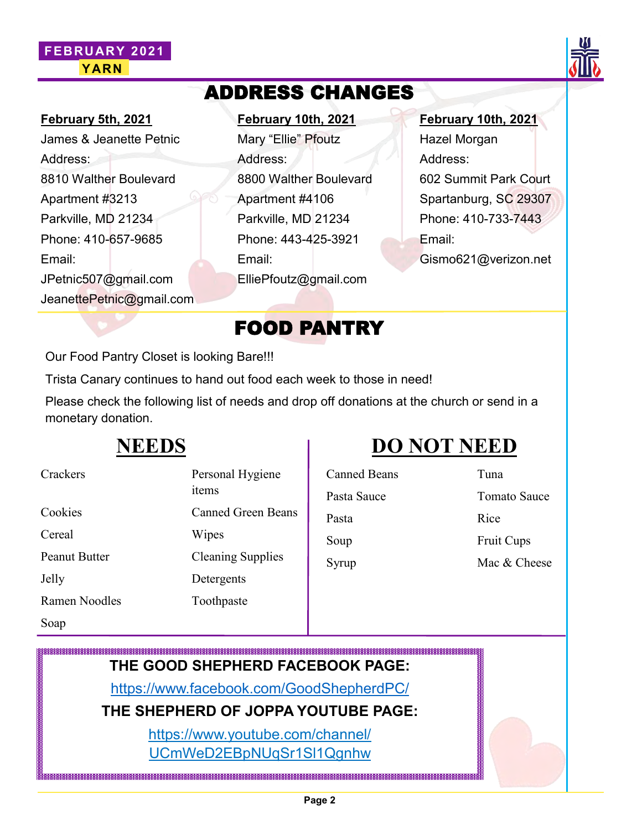#### **FEBRUARY 2021 YARN**



#### **February 5th, 2021**

James & Jeanette Petnic Address: 8810 Walther Boulevard Apartment #3213 Parkville, MD 21234 Phone: 410-657-9685 Email: JPetnic507@gmail.com JeanettePetnic@gmail.com

#### **February 10th, 2021**

ADDRESS CHANGES

Mary "Ellie" Pfoutz Address: 8800 Walther Boulevard Apartment #4106 Parkville, MD 21234 Phone: 443-425-3921 Email: ElliePfoutz@gmail.com

**February 10th, 2021**

Hazel Morgan Address: 602 Summit Park Court Spartanburg, SC 29307 Phone: 410-733-7443 Email: Gismo621@verizon.net

#### FOOD PANTRY

Our Food Pantry Closet is looking Bare!!!

Trista Canary continues to hand out food each week to those in need!

Please check the following list of needs and drop off donations at the church or send in a monetary donation.

#### **NEEDS**

## **DO NOT NEED**

| Crackers             | Personal Hygiene          | <b>Canned Beans</b> | Tuna  |
|----------------------|---------------------------|---------------------|-------|
|                      | items                     | Pasta Sauce         | Toma  |
| Cookies              | <b>Canned Green Beans</b> | Pasta               | Rice  |
| Cereal               | Wipes                     | Soup                | Fruit |
| <b>Peanut Butter</b> | <b>Cleaning Supplies</b>  | Syrup               | Mac d |
| Jelly                | Detergents                |                     |       |
| Ramen Noodles        | Toothpaste                |                     |       |
| Soap                 |                           |                     |       |

# Pasta Sauce Tomato Sauce Pasta Rice Soup Fruit Cups

Syrup Mac & Cheese

**THE GOOD SHEPHERD FACEBOOK PAGE:**

<https://www.facebook.com/GoodShepherdPC/>

**THE SHEPHERD OF JOPPA YOUTUBE PAGE:**

https://www.youtube.com/channel/ UCmWeD2EBpNUqSr1Sl1Qgnhw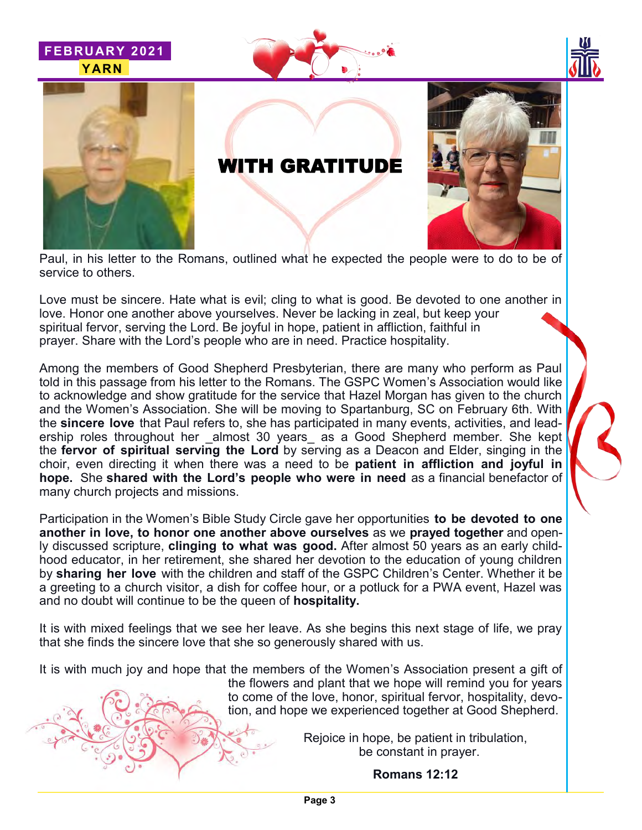







### WITH GRATITUDE



Paul, in his letter to the Romans, outlined what he expected the people were to do to be of service to others.

Love must be sincere. Hate what is evil; cling to what is good. Be devoted to one another in love. Honor one another above yourselves. Never be lacking in zeal, but keep your spiritual fervor, serving the Lord. Be joyful in hope, patient in affliction, faithful in prayer. Share with the Lord's people who are in need. Practice hospitality.

Among the members of Good Shepherd Presbyterian, there are many who perform as Paul told in this passage from his letter to the Romans. The GSPC Women's Association would like to acknowledge and show gratitude for the service that Hazel Morgan has given to the church and the Women's Association. She will be moving to Spartanburg, SC on February 6th. With the **sincere love** that Paul refers to, she has participated in many events, activities, and leadership roles throughout her \_almost 30 years\_ as a Good Shepherd member. She kept the **fervor of spiritual serving the Lord** by serving as a Deacon and Elder, singing in the choir, even directing it when there was a need to be **patient in affliction and joyful in hope.** She **shared with the Lord's people who were in need** as a financial benefactor of many church projects and missions.

Participation in the Women's Bible Study Circle gave her opportunities **to be devoted to one another in love, to honor one another above ourselves** as we **prayed together** and openly discussed scripture, **clinging to what was good.** After almost 50 years as an early childhood educator, in her retirement, she shared her devotion to the education of young children by **sharing her love** with the children and staff of the GSPC Children's Center. Whether it be a greeting to a church visitor, a dish for coffee hour, or a potluck for a PWA event, Hazel was and no doubt will continue to be the queen of **hospitality.**

It is with mixed feelings that we see her leave. As she begins this next stage of life, we pray that she finds the sincere love that she so generously shared with us.

It is with much joy and hope that the members of the Women's Association present a gift of



the flowers and plant that we hope will remind you for years to come of the love, honor, spiritual fervor, hospitality, devotion, and hope we experienced together at Good Shepherd.

> Rejoice in hope, be patient in tribulation, be constant in prayer.

> > **Romans 12:12**

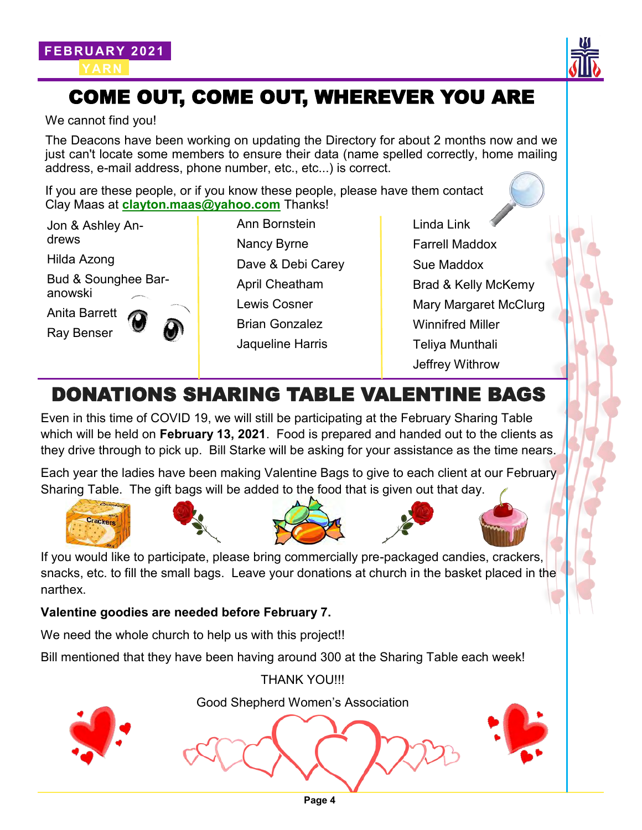



### COME OUT, COME OUT, WHEREVER YOU ARE

We cannot find you!

The Deacons have been working on updating the Directory for about 2 months now and we just can't locate some members to ensure their data (name spelled correctly, home mailing address, e-mail address, phone number, etc., etc...) is correct.

If you are these people, or if you know these people, please have them contact Clay Maas at **[clayton.maas@yahoo.com](mailto:clayton.maas@yahoo.com)** Thanks!

Jon & Ashley Andrews

Hilda Azong

Bud & Sounghee Baranowski

Anita Barrett Ray Benser

Ann Bornstein Nancy Byrne Dave & Debi Carey April Cheatham Lewis Cosner Brian Gonzalez Jaqueline Harris

Linda Link Farrell Maddox Sue Maddox Brad & Kelly McKemy Mary Margaret McClurg Winnifred Miller Teliya Munthali Jeffrey Withrow

### DONATIONS SHARING TABLE VALENTINE BAGS

Even in this time of COVID 19, we will still be participating at the February Sharing Table which will be held on **February 13, 2021**. Food is prepared and handed out to the clients as they drive through to pick up. Bill Starke will be asking for your assistance as the time nears.

Each year the ladies have been making Valentine Bags to give to each client at our February Sharing Table. The gift bags will be added to the food that is given out that day.











If you would like to participate, please bring commercially pre-packaged candies, crackers, snacks, etc. to fill the small bags. Leave your donations at church in the basket placed in the narthex.

#### **Valentine goodies are needed before February 7.**

We need the whole church to help us with this project!!

Bill mentioned that they have been having around 300 at the Sharing Table each week!

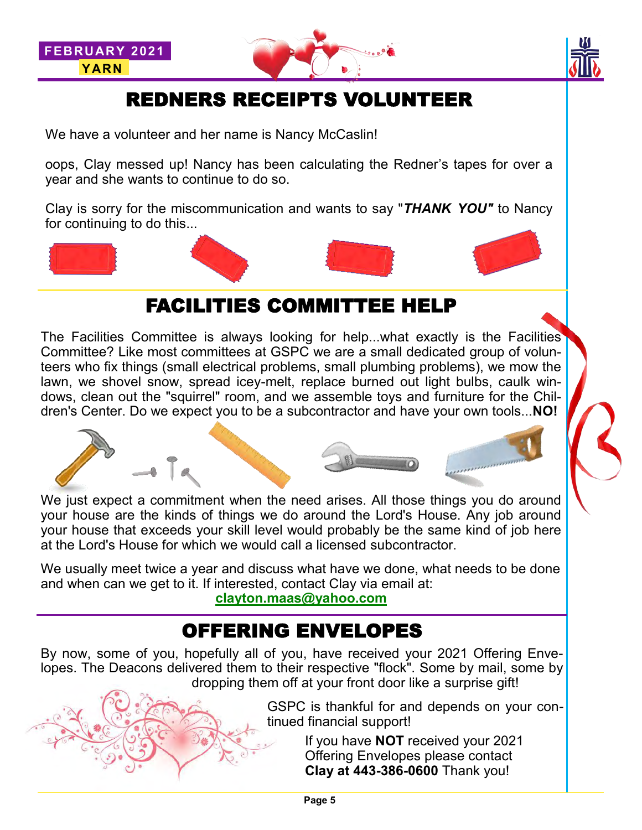



## REDNERS RECEIPTS VOLUNTEER

We have a volunteer and her name is Nancy McCaslin!

oops, Clay messed up! Nancy has been calculating the Redner's tapes for over a year and she wants to continue to do so.

Clay is sorry for the miscommunication and wants to say "*THANK YOU"* to Nancy for continuing to do this...



#### FACILITIES COMMITTEE HELP

The Facilities Committee is always looking for help...what exactly is the Facilities Committee? Like most committees at GSPC we are a small dedicated group of volunteers who fix things (small electrical problems, small plumbing problems), we mow the lawn, we shovel snow, spread icey-melt, replace burned out light bulbs, caulk windows, clean out the "squirrel" room, and we assemble toys and furniture for the Children's Center. Do we expect you to be a subcontractor and have your own tools...**NO!**



We just expect a commitment when the need arises. All those things you do around your house are the kinds of things we do around the Lord's House. Any job around your house that exceeds your skill level would probably be the same kind of job here at the Lord's House for which we would call a licensed subcontractor.

We usually meet twice a year and discuss what have we done, what needs to be done and when can we get to it. If interested, contact Clay via email at:

**[clayton.maas@yahoo.com](mailto:clayton.maas@yahoo.com)**

### OFFERING ENVELOPES

By now, some of you, hopefully all of you, have received your 2021 Offering Envelopes. The Deacons delivered them to their respective "flock". Some by mail, some by dropping them off at your front door like a surprise gift!

> GSPC is thankful for and depends on your continued financial support!

> > If you have **NOT** received your 2021 Offering Envelopes please contact **Clay at 443-386-0600** Thank you!